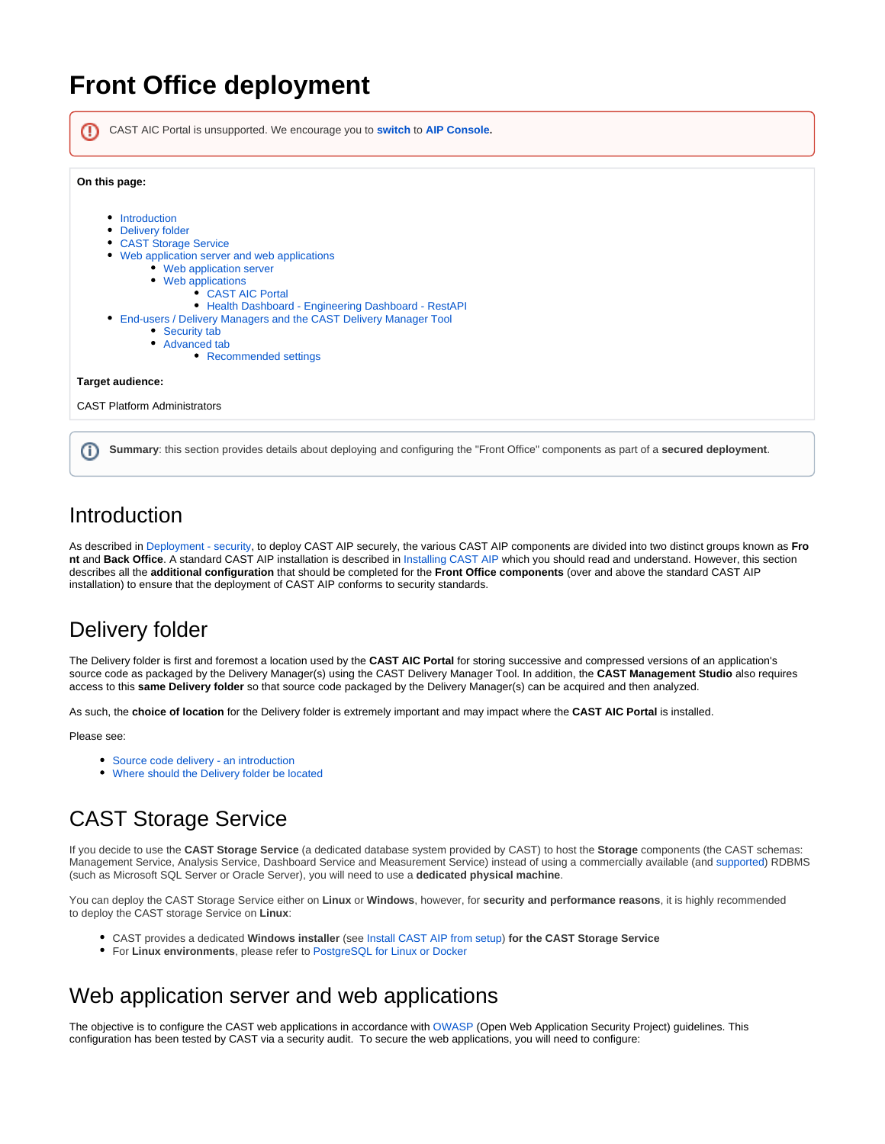# **Front Office deployment**

| CAST AIC Portal is unsupported. We encourage you to switch to AIP Console.                                                                                                                                                                                                                                                                                                            |  |
|---------------------------------------------------------------------------------------------------------------------------------------------------------------------------------------------------------------------------------------------------------------------------------------------------------------------------------------------------------------------------------------|--|
| On this page:                                                                                                                                                                                                                                                                                                                                                                         |  |
| Introduction<br>٠<br>Delivery folder<br><b>CAST Storage Service</b><br>• Web application server and web applications<br>• Web application server<br>• Web applications<br>• CAST AIC Portal<br>• Health Dashboard - Engineering Dashboard - RestAPI<br>End-users / Delivery Managers and the CAST Delivery Manager Tool<br>• Security tab<br>• Advanced tab<br>• Recommended settings |  |
| Target audience:                                                                                                                                                                                                                                                                                                                                                                      |  |
| <b>CAST Platform Administrators</b>                                                                                                                                                                                                                                                                                                                                                   |  |

### <span id="page-0-0"></span>Introduction

As described in [Deployment - security,](https://doc.castsoftware.com/display/DOC83/Deployment+-+security) to deploy CAST AIP securely, the various CAST AIP components are divided into two distinct groups known as **Fro nt** and **Back Office**. A standard CAST AIP installation is described in [Installing CAST AIP](https://doc.castsoftware.com/display/DOC83/Installing+CAST+AIP) which you should read and understand. However, this section describes all the **additional configuration** that should be completed for the **Front Office components** (over and above the standard CAST AIP installation) to ensure that the deployment of CAST AIP conforms to security standards.

# <span id="page-0-1"></span>Delivery folder

The Delivery folder is first and foremost a location used by the **CAST AIC Portal** for storing successive and compressed versions of an application's source code as packaged by the Delivery Manager(s) using the CAST Delivery Manager Tool. In addition, the **CAST Management Studio** also requires access to this **same Delivery folder** so that source code packaged by the Delivery Manager(s) can be acquired and then analyzed.

As such, the **choice of location** for the Delivery folder is extremely important and may impact where the **CAST AIC Portal** is installed.

Please see:

- [Source code delivery an introduction](https://doc.castsoftware.com/display/DOC83/Source+code+delivery+-+an+introduction)
- [Where should the Delivery folder be located](https://doc.castsoftware.com/display/DOC83/Where+should+the+Delivery+folder+be+located)

# <span id="page-0-2"></span>CAST Storage Service

If you decide to use the **CAST Storage Service** (a dedicated database system provided by CAST) to host the **Storage** components (the CAST schemas: Management Service, Analysis Service, Dashboard Service and Measurement Service) instead of using a commercially available (and [supported](https://doc.castsoftware.com/display/DOC83/Supported+Platforms)) RDBMS (such as Microsoft SQL Server or Oracle Server), you will need to use a **dedicated physical machine**.

You can deploy the CAST Storage Service either on **Linux** or **Windows**, however, for **security and performance reasons**, it is highly recommended to deploy the CAST storage Service on **Linux**:

- CAST provides a dedicated **Windows installer** (see [Install CAST AIP from setup](https://doc.castsoftware.com/display/DOC83/Install+CAST+AIP+from+setup)) **for the CAST Storage Service**
- For **Linux environments**, please refer to [PostgreSQL for Linux or Docker](https://doc.castsoftware.com/display/STORAGE/PostgreSQL+for+Linux+or+Docker)

## <span id="page-0-3"></span>Web application server and web applications

The objective is to configure the CAST web applications in accordance with [OWASP](https://www.owasp.org) (Open Web Application Security Project) guidelines. This configuration has been tested by CAST via a security audit. To secure the web applications, you will need to configure: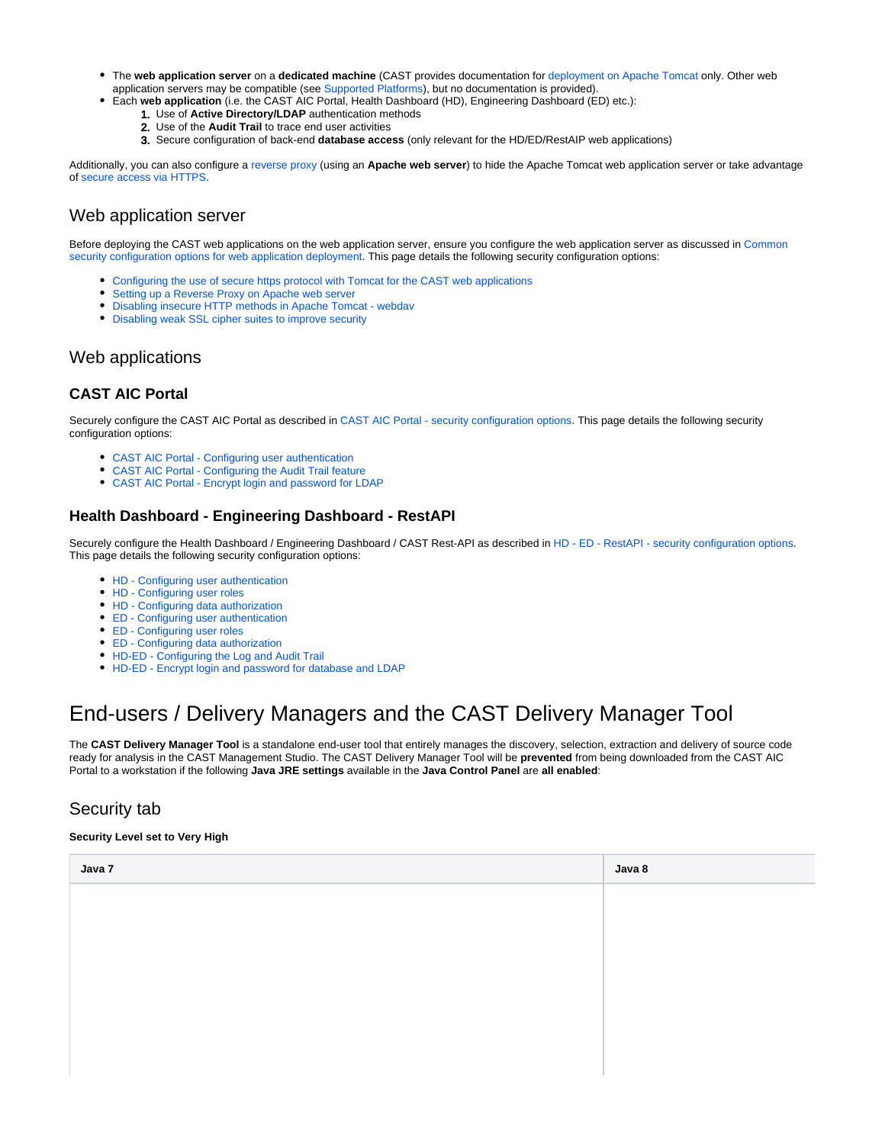- The **web application server** on a **dedicated machine** (CAST provides documentation for [deployment on Apache Tomcat](https://doc.castsoftware.com/display/DOC83/Appendix+-+web+application+server+configuration) only. Other web application servers may be compatible (see [Supported Platforms\)](https://doc.castsoftware.com/display/DOC83/Supported+Platforms), but no documentation is provided).
- Each **web application** (i.e. the CAST AIC Portal, Health Dashboard (HD), Engineering Dashboard (ED) etc.):
	- 1. Use of **Active Directory/LDAP** authentication methods
	- 2. Use of the **Audit Trail** to trace end user activities
	- 3. Secure configuration of back-end **database access** (only relevant for the HD/ED/RestAIP web applications)

Additionally, you can also configure a [reverse proxy](https://doc.castsoftware.com/display/DOC83/Setting+up+a+Reverse+Proxy+on+Apache+web+server) (using an **Apache web server**) to hide the Apache Tomcat web application server or take advantage of [secure access via HTTPS.](https://doc.castsoftware.com/display/DOC83/Configuring+the+use+of+secure+https+protocol+with+Tomcat+for+the+CAST+web+applications)

#### <span id="page-1-0"></span>Web application server

Before deploying the CAST web applications on the web application server, ensure you configure the web application server as discussed in [Common](https://doc.castsoftware.com/display/DOC83/Common+security+configuration+options+for+web+application+deployment)  [security configuration options for web application deployment.](https://doc.castsoftware.com/display/DOC83/Common+security+configuration+options+for+web+application+deployment) This page details the following security configuration options:

- [Configuring the use of secure https protocol with Tomcat for the CAST web applications](https://doc.castsoftware.com/display/DOC83/Configuring+the+use+of+secure+https+protocol+with+Tomcat+for+the+CAST+web+applications)
- $\bullet$ [Setting up a Reverse Proxy on Apache web server](https://doc.castsoftware.com/display/DOC83/Setting+up+a+Reverse+Proxy+on+Apache+web+server)
- [Disabling insecure HTTP methods in Apache Tomcat webdav](https://doc.castsoftware.com/display/DOC83/Disabling+insecure+HTTP+methods+in+Apache+Tomcat+-+webdav)
- [Disabling weak SSL cipher suites to improve security](https://doc.castsoftware.com/display/DOC83/Disabling+weak+SSL+cipher+suites+to+improve+security)

#### <span id="page-1-1"></span>Web applications

#### <span id="page-1-2"></span>**CAST AIC Portal**

Securely configure the CAST AIC Portal as described in [CAST AIC Portal - security configuration options.](https://doc.castsoftware.com/display/DOC83/CAST+AIC+Portal+-+security+configuration+options) This page details the following security configuration options:

- [CAST AIC Portal Configuring user authentication](https://doc.castsoftware.com/display/DOC83/CAST+AIC+Portal+-+Configuring+user+authentication)
- [CAST AIC Portal Configuring the Audit Trail feature](https://doc.castsoftware.com/display/DOC83/CAST+AIC+Portal+-+Configuring+the+Audit+Trail+feature)
- [CAST AIC Portal Encrypt login and password for LDAP](https://doc.castsoftware.com/display/DOC83/CAST+AIC+Portal+-+Encrypt+login+and+password+for+LDAP)

#### <span id="page-1-3"></span>**Health Dashboard - Engineering Dashboard - RestAPI**

Securely configure the Health Dashboard / Engineering Dashboard / CAST Rest-API as described in [HD - ED - RestAPI - security configuration options](https://doc.castsoftware.com/display/DOC83/HD+-+ED+-+RestAPI+-+security+configuration+options). This page details the following security configuration options:

- [HD Configuring user authentication](https://doc.castsoftware.com/display/DOC83/HD+-+Configuring+user+authentication)
- [HD Configuring user roles](https://doc.castsoftware.com/display/DOC83/HD+-+Configuring+user+roles)
- [HD Configuring data authorization](https://doc.castsoftware.com/display/DOC83/HD+-+Configuring+data+authorization)
- [ED Configuring user authentication](https://doc.castsoftware.com/display/DOC83/ED+-+Configuring+user+authentication)
- [ED Configuring user roles](https://doc.castsoftware.com/display/DOC83/ED+-+Configuring+user+roles)
- [ED Configuring data authorization](https://doc.castsoftware.com/display/DOC83/ED+-+Configuring+data+authorization)
- [HD-ED Configuring the Log and Audit Trail](https://doc.castsoftware.com/display/DOC83/HD-ED+-+Configuring+the+Log+and+Audit+Trail)
- [HD-ED Encrypt login and password for database and LDAP](https://doc.castsoftware.com/display/DOC83/HD-ED+-+Encrypt+login+and+password+for+database+and+LDAP)

## <span id="page-1-4"></span>End-users / Delivery Managers and the CAST Delivery Manager Tool

The **CAST Delivery Manager Tool** is a standalone end-user tool that entirely manages the discovery, selection, extraction and delivery of source code ready for analysis in the CAST Management Studio. The CAST Delivery Manager Tool will be **prevented** from being downloaded from the CAST AIC Portal to a workstation if the following **Java JRE settings** available in the **Java Control Panel** are **all enabled**:

#### <span id="page-1-5"></span>Security tab

#### **Security Level set to Very High**

| Java 7 | Java 8 |
|--------|--------|
|        |        |
|        |        |
|        |        |
|        |        |
|        |        |
|        |        |
|        |        |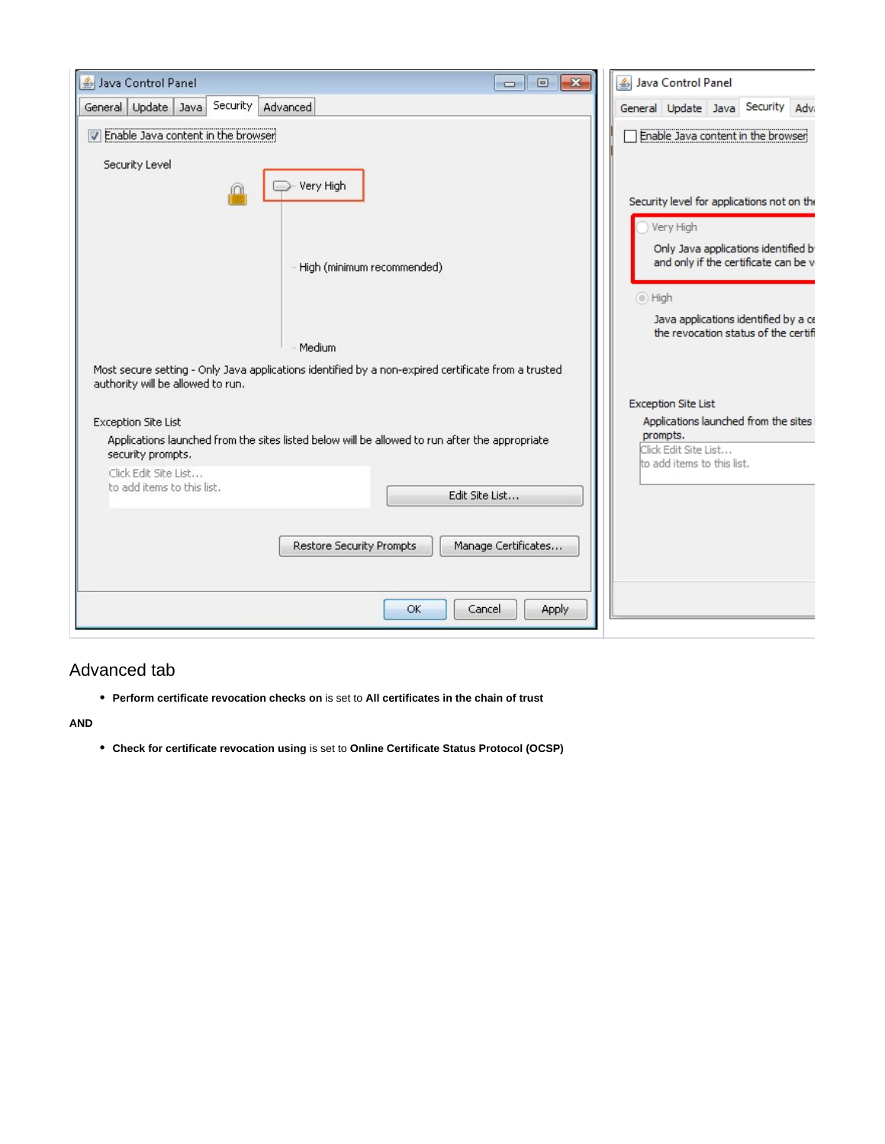| $-x$<br>Java Control Panel<br>回<br>$\Box$                                                                                                                                                   | Java Control Panel                                                                                                                                                                |
|---------------------------------------------------------------------------------------------------------------------------------------------------------------------------------------------|-----------------------------------------------------------------------------------------------------------------------------------------------------------------------------------|
| Security<br>General Update Java<br>Advanced                                                                                                                                                 | Security Adv<br>General Update Java                                                                                                                                               |
| T Enable Java content in the browser<br>Security Level<br>Very High                                                                                                                         | Enable Java content in the browser<br>Security level for applications not on the                                                                                                  |
| High (minimum recommended)<br>Medium                                                                                                                                                        | Very High<br>Only Java applications identified b<br>and only if the certificate can be v<br>◯ High<br>Java applications identified by a ce<br>the revocation status of the certif |
| Most secure setting - Only Java applications identified by a non-expired certificate from a trusted<br>authority will be allowed to run.<br><b>Exception Site List</b>                      | <b>Exception Site List</b><br>Applications launched from the sites<br>prompts.                                                                                                    |
| Applications launched from the sites listed below will be allowed to run after the appropriate<br>security prompts.<br>Click Edit Site List<br>to add items to this list.<br>Edit Site List | Click Edit Site List<br>to add items to this list.                                                                                                                                |
| <b>Restore Security Prompts</b><br>Manage Certificates                                                                                                                                      |                                                                                                                                                                                   |
| OK<br>Cancel<br>Apply                                                                                                                                                                       |                                                                                                                                                                                   |

### <span id="page-2-0"></span>Advanced tab

**Perform certificate revocation checks on** is set to **All certificates in the chain of trust**

**AND**

**Check for certificate revocation using** is set to **Online Certificate Status Protocol (OCSP)**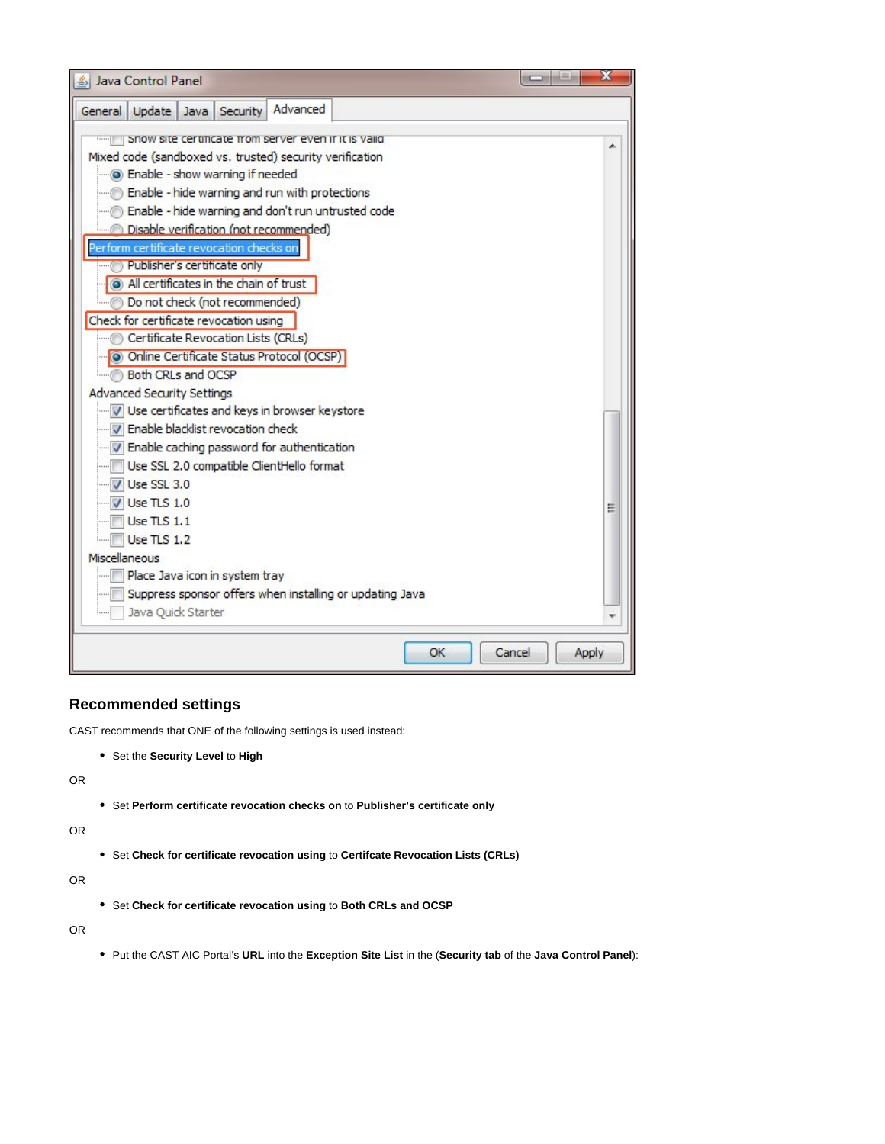| S Java Control Panel                                     | x               |
|----------------------------------------------------------|-----------------|
| Advanced<br>Update Java Security<br>General              |                 |
| Show site certificate from server even if it is valid    |                 |
| Mixed code (sandboxed vs. trusted) security verification |                 |
| <b>O</b> Enable - show warning if needed                 |                 |
| Enable - hide warning and run with protections           |                 |
| Enable - hide warning and don't run untrusted code       |                 |
| Disable verification (not recommended)                   |                 |
| Perform certificate revocation checks on                 |                 |
| Publisher's certificate only                             |                 |
| All certificates in the chain of trust                   |                 |
| Do not check (not recommended)                           |                 |
| Check for certificate revocation using                   |                 |
| Certificate Revocation Lists (CRLs)                      |                 |
| O Online Certificate Status Protocol (OCSP)              |                 |
| Both CRLs and OCSP                                       |                 |
| <b>Advanced Security Settings</b>                        |                 |
| Use certificates and keys in browser keystore            |                 |
| T Enable blacklist revocation check                      |                 |
| T Enable caching password for authentication             |                 |
| Use SSL 2.0 compatible ClientHello format                |                 |
| Use SSL 3.0                                              |                 |
| $U$ Use TLS 1.0                                          |                 |
| <b>Use TLS 1.1</b>                                       |                 |
| <b>Use TLS 1.2</b>                                       |                 |
| Miscellaneous                                            |                 |
| Place Java icon in system tray                           |                 |
| Suppress sponsor offers when installing or updating Java |                 |
| Java Quick Starter                                       |                 |
| OK                                                       | Cancel<br>Apply |
|                                                          |                 |

#### <span id="page-3-0"></span>**Recommended settings**

CAST recommends that ONE of the following settings is used instead:

Set the **Security Level** to **High**

OR

Set **Perform certificate revocation checks on** to **Publisher's certificate only**

OR

Set **Check for certificate revocation using** to **Certifcate Revocation Lists (CRLs)**

OR

Set **Check for certificate revocation using** to **Both CRLs and OCSP**

OR

Put the CAST AIC Portal's **URL** into the **Exception Site List** in the (**Security tab** of the **Java Control Panel**):